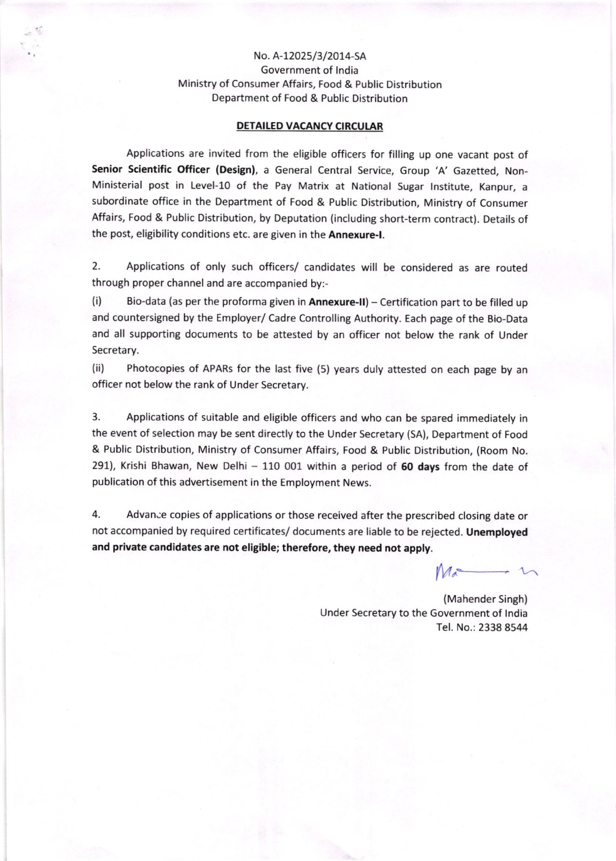## No. A-12025/3/2014-SA Government of lndia Ministry of Consumer Affairs, Food & Public Distribution Department of Food & Public Distribution

## OETAILED VACANCY CIRCULAR

Applications are invited from the eligible officers for filling up one vacant post of Senior Scientific Officer (Design), a General Central Service, Group 'A' Gazetted, Non-Ministerial post in Level-1o of the Pay Matrix at National Sugar lnstitute, Kanpur, <sup>a</sup> subordinate office in the Department of Food & Public Distribution, Ministry of Consumer Affairs, Food & Public Distribution, by Deputation (including short-term contract). Details of the post, eligibility conditions etc. are given in the Annexure-I.

2. Applications of only such officers/ candidates will be considered as are routed through proper channel and are accompanied by:-

(i) Bio-data (as per the proforma given in **Annexure-II**) – Certification part to be filled up and countersigned by the Employer/ Cadre Controlling Authority. Each page of the Bio-Data and all supporting documents to be attested by an officer not below the rank of Under Secretary.

(ii) Photocopies of APARs for the last five (5) years duly attested on each page by an officer not below the rank of Under Secretary.

3. Applications of suitable and eligible offlcers and who can be spared immediately in the event of selection may be sent directly to the Under Secretary (SA), Department of Food & Public Distribution, Ministry of Consumer Affairs, Food & Public Distribution, (Room No. 291), Krishi Bhawan, New Delhi  $-$  110 001 within a period of 60 days from the date of publication of this advertisement in the Employment News.

4. Advance copies of applications or those received after the prescribed closing date or not accompanied by required certificates/ documents are liable to be rejected. Unemployed and private candidates are not eligible; therefore, they need not apply.

 $M$ a  $\longrightarrow$ 

(Mahender Singh) Under Secretary to the Government of India Tel. No.: 2338 8544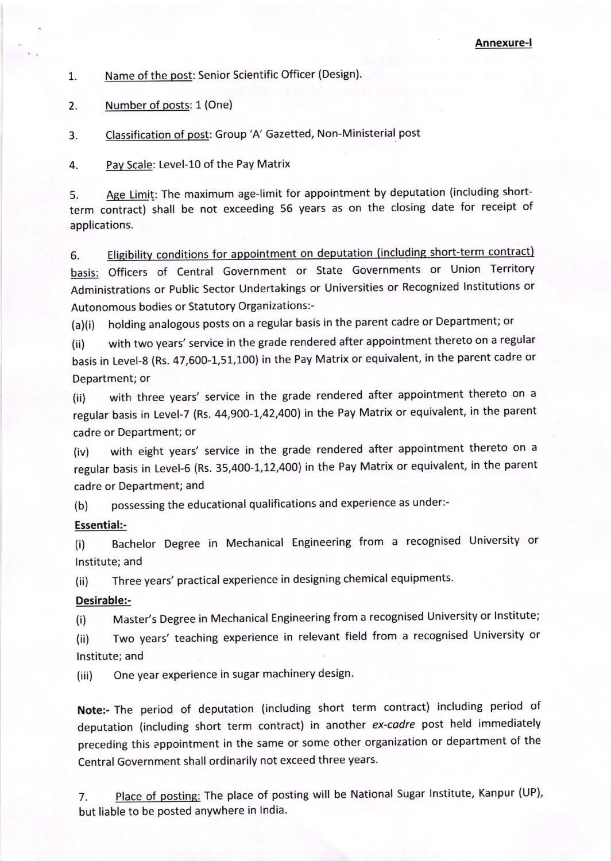1. Name of the post: Senior Scientific Officer (Design).

2. Number of posts: 1 (One)

3. Classification of post: Group 'A' Gazetted, Non-Ministerial post

4 Pav Scale: Level-1O of the Pay Matrix

5. Age Limit: The maximum age-limit for appointment by deputation (including shortterm contract) shall be not exceeding 56 years as on the closing date for receipt of applications.

6. Eligibility conditions for appointment on deputation (including short-term contract) basis: Officers of Central Government or State Governments or Union Territory Administrations or Public Sector Undertakings or Universities or Recognized lnstitutions or Autonomous bodies or Statutory Organizations:-

(a)(i) holding analogous posts on a regular basis in the parent cadre or Department; or

(ii) with two years' service in the grade rendered after appointment thereto on a regular basis in Level-8 (Rs. 47,600-1,51,100) in the Pay Matrix or equivalent, in the parent cadre or Department; or

(ii) with three years' service in the grade rendered after appointment thereto on <sup>a</sup> regular basis in Level-7 (Rs. 44,900-1,42,400) in the Pay Matrix or equivalent, in the parent cadre or Department; or

(iv) with eight years' service in the grade rendered after appointment thereto on a regular basis in Level-6 (Rs. 35,400-1,12,400) in the Pay Matrix or equivalent, in the parent cadre or Department; and

(b) possessing the educational qualifications and experience as under:-

## Essential:-

(i) Bachelor Degree in Mechanical Engineering from a recognised University or lnstitute; and

(ii) Three years' practical experience in designing chemical equipments.

## Desirable:-

(i) Master's Degree in Mechanical Engineering from a recognised University or Institute;

(ii) Two years' teaching experience in relevant field from a recognised University or lnstitute; and

(iii) One year experience in sugar machinery design.

Note:- The period of deputation (including short term contract) including period of deputation (including short term contract) in another ex-cadre post held immediately preceding this appointment in the same or some other organization or department of the Central Government shall ordinarily not exceed three years.

7. Place of posting: The place of posting will be National Sugar Institute, Kanpur (UP), but liable to be posted anywhere in lndia.